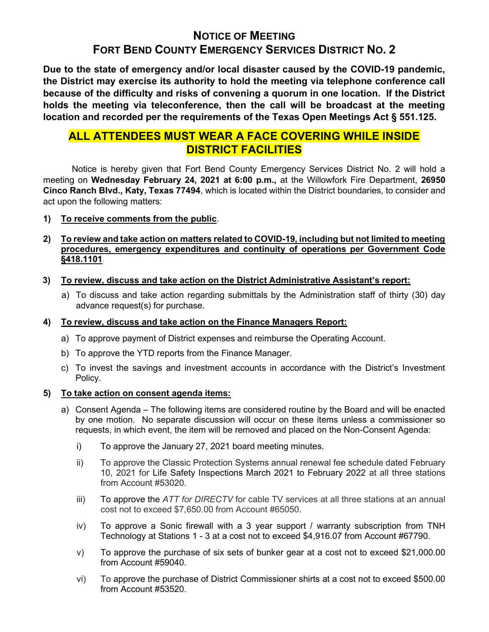# NOTICE OF MEETING FORT BEND COUNTY EMERGENCY SERVICES DISTRICT NO. 2

Due to the state of emergency and/or local disaster caused by the COVID-19 pandemic, the District may exercise its authority to hold the meeting via telephone conference call because of the difficulty and risks of convening a quorum in one location. If the District holds the meeting via teleconference, then the call will be broadcast at the meeting location and recorded per the requirements of the Texas Open Meetings Act § 551.125.

# ALL ATTENDEES MUST WEAR A FACE COVERING WHILE INSIDE DISTRICT FACILITIES

 Notice is hereby given that Fort Bend County Emergency Services District No. 2 will hold a meeting on Wednesday February 24, 2021 at 6:00 p.m., at the Willowfork Fire Department, 26950 Cinco Ranch Blvd., Katy, Texas 77494, which is located within the District boundaries, to consider and act upon the following matters:

## 1) To receive comments from the public.

## 2) To review and take action on matters related to COVID-19, including but not limited to meeting procedures, emergency expenditures and continuity of operations per Government Code §418.1101.

- 3) To review, discuss and take action on the District Administrative Assistant's report:
	- a) To discuss and take action regarding submittals by the Administration staff of thirty (30) day advance request(s) for purchase.

## 4) To review, discuss and take action on the Finance Managers Report:

- a) To approve payment of District expenses and reimburse the Operating Account.
- b) To approve the YTD reports from the Finance Manager.
- c) To invest the savings and investment accounts in accordance with the District's Investment Policy.

### 5) To take action on consent agenda items:

- a) Consent Agenda The following items are considered routine by the Board and will be enacted by one motion. No separate discussion will occur on these items unless a commissioner so requests, in which event, the item will be removed and placed on the Non-Consent Agenda:
	- i) To approve the January 27, 2021 board meeting minutes.
	- ii) To approve the Classic Protection Systems annual renewal fee schedule dated February 10, 2021 for Life Safety Inspections March 2021 to February 2022 at all three stations from Account #53020.
	- iii) To approve the  $ATT$  for DIRECTV for cable TV services at all three stations at an annual cost not to exceed \$7,650.00 from Account #65050.
	- iv) To approve a Sonic firewall with a 3 year support / warranty subscription from TNH Technology at Stations 1 - 3 at a cost not to exceed \$4,916.07 from Account #67790.
	- v) To approve the purchase of six sets of bunker gear at a cost not to exceed \$21,000.00 from Account #59040.
	- vi) To approve the purchase of District Commissioner shirts at a cost not to exceed \$500.00 from Account #53520.